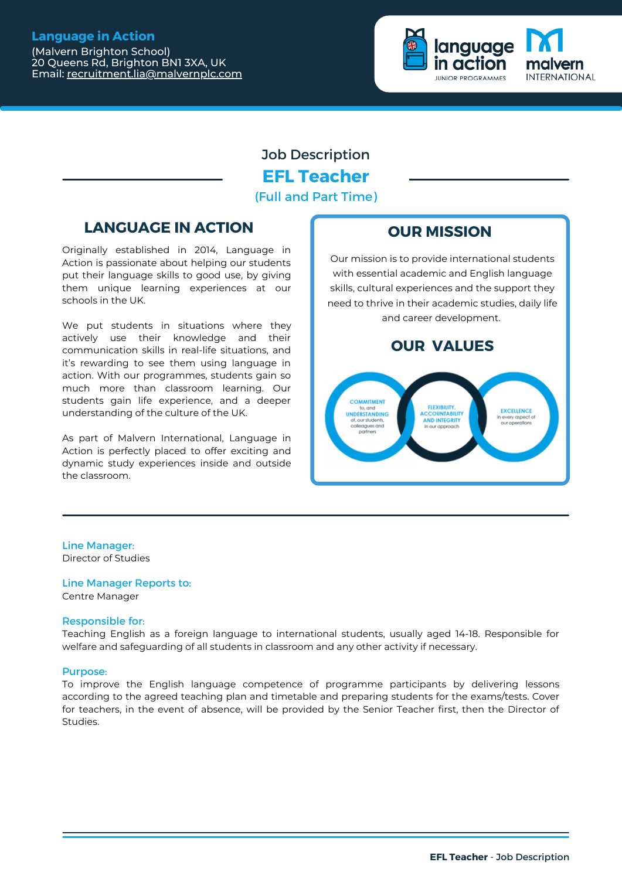# **Language in Action**

(Malvern Brighton School) 20 Queens Rd, Brighton BN1 3XA, UK Email: [recruitment.lia@malvernplc.com](mailto:recruitment.lia@mailvernplc.com)



# Job Description **EFL Teacher** (Full and Part Time)

# **LANGUAGE IN ACTION OUR MISSION**

Originally established in 2014, Language in Action is passionate about helping our students put their language skills to good use, by giving them unique learning experiences at our schools in the UK.

We put students in situations where they actively use their knowledge and their communication skills in real-life situations, and it's rewarding to see them using language in action. With our programmes, students gain so much more than classroom learning. Our students gain life experience, and a deeper understanding of the culture of the UK.

As part of Malvern International, Language in Action is perfectly placed to offer exciting and dynamic study experiences inside and outside the classroom.

Our mission is to provide international students with essential academic and English language skills, cultural experiences and the support they need to thrive in their academic studies, daily life and career development.

# **OUR VALUES**



# Line Manager:

Director of Studies

Line Manager Reports to: Centre Manager

# Responsible for:

Teaching English as a foreign language to international students, usually aged 14-18. Responsible for welfare and safeguarding of all students in classroom and any other activity if necessary.

## Purpose:

To improve the English language competence of programme participants by delivering lessons according to the agreed teaching plan and timetable and preparing students for the exams/tests. Cover for teachers, in the event of absence, will be provided by the Senior Teacher first, then the Director of Studies.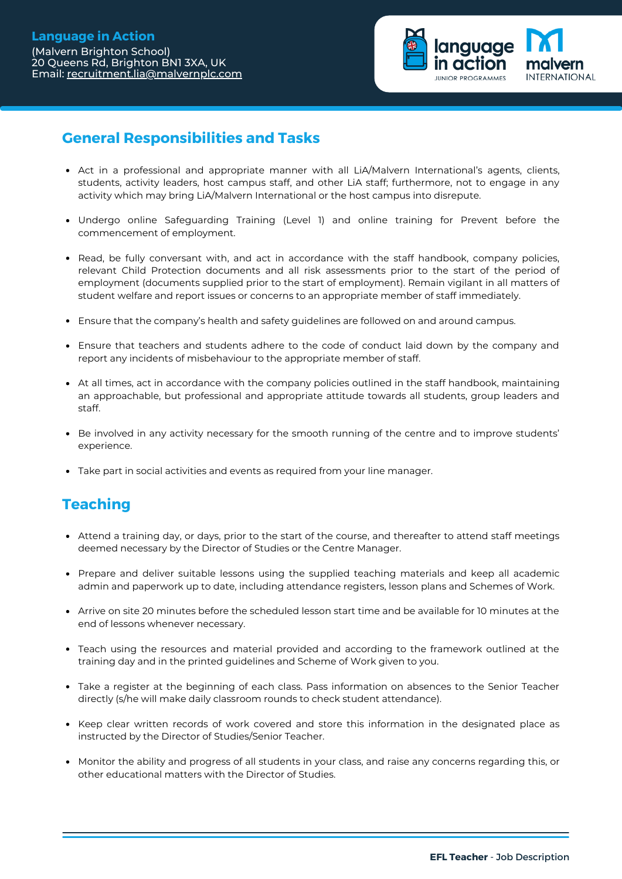Email: [recruitment.lia@malvernplc.com](mailto:recruitment.lia@mailvernplc.com)



# **General Responsibilities and Tasks**

- Act in a professional and appropriate manner with all LiA/Malvern International's agents, clients, students, activity leaders, host campus staff, and other LiA staff; furthermore, not to engage in any activity which may bring LiA/Malvern International or the host campus into disrepute.
- Undergo online Safeguarding Training (Level 1) and online training for Prevent before the commencement of employment.
- Read, be fully conversant with, and act in accordance with the staff handbook, company policies, relevant Child Protection documents and all risk assessments prior to the start of the period of employment (documents supplied prior to the start of employment). Remain vigilant in all matters of student welfare and report issues or concerns to an appropriate member of staff immediately.
- Ensure that the company's health and safety guidelines are followed on and around campus.
- Ensure that teachers and students adhere to the code of conduct laid down by the company and report any incidents of misbehaviour to the appropriate member of staff.
- At all times, act in accordance with the company policies outlined in the staff handbook, maintaining an approachable, but professional and appropriate attitude towards all students, group leaders and staff.
- Be involved in any activity necessary for the smooth running of the centre and to improve students' experience.
- Take part in social activities and events as required from your line manager.

# **Teaching**

- Attend a training day, or days, prior to the start of the course, and thereafter to attend staff meetings deemed necessary by the Director of Studies or the Centre Manager.
- Prepare and deliver suitable lessons using the supplied teaching materials and keep all academic admin and paperwork up to date, including attendance registers, lesson plans and Schemes of Work.
- Arrive on site 20 minutes before the scheduled lesson start time and be available for 10 minutes at the end of lessons whenever necessary.
- Teach using the resources and material provided and according to the framework outlined at the training day and in the printed guidelines and Scheme of Work given to you.
- Take a register at the beginning of each class. Pass information on absences to the Senior Teacher directly (s/he will make daily classroom rounds to check student attendance).
- Keep clear written records of work covered and store this information in the designated place as instructed by the Director of Studies/Senior Teacher.
- Monitor the ability and progress of all students in your class, and raise any concerns regarding this, or other educational matters with the Director of Studies.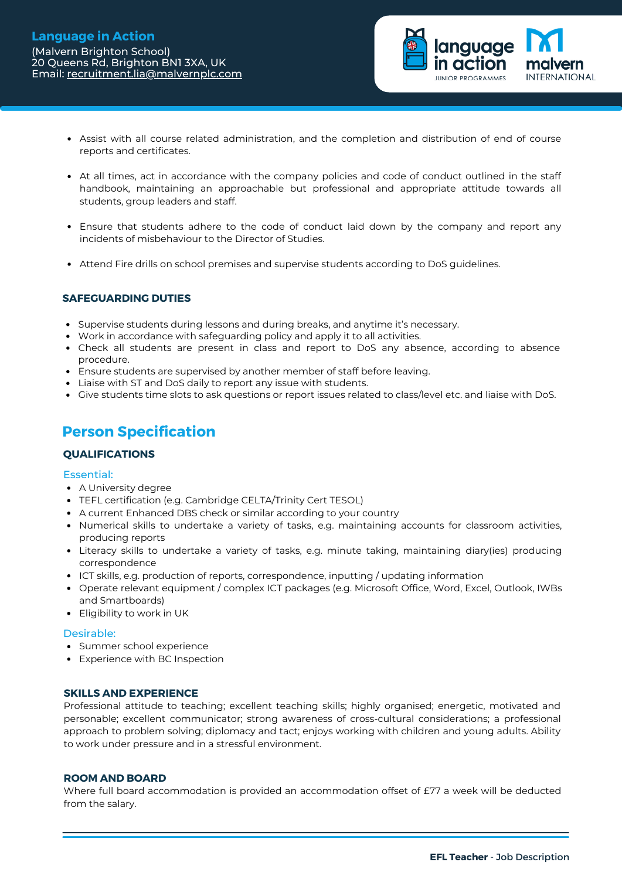

- Assist with all course related administration, and the completion and distribution of end of course reports and certificates.
- At all times, act in accordance with the company policies and code of conduct outlined in the staff handbook, maintaining an approachable but professional and appropriate attitude towards all students, group leaders and staff.
- Ensure that students adhere to the code of conduct laid down by the company and report any incidents of misbehaviour to the Director of Studies.
- Attend Fire drills on school premises and supervise students according to DoS guidelines.

# **SAFEGUARDING DUTIES**

- **Supervise students during lessons and during breaks, and anytime it's necessary.**
- Work in accordance with safeguarding policy and apply it to all activities.
- Check all students are present in class and report to DoS any absence, according to absence procedure.
- Ensure students are supervised by another member of staff before leaving.
- Liaise with ST and DoS daily to report any issue with students.
- Give students time slots to ask questions or report issues related to class/level etc. and liaise with DoS.

# **Person Specification**

# **QUALIFICATIONS**

## Essential:

- A University degree
- TEFL certification (e.g. Cambridge CELTA/Trinity Cert TESOL)
- A current Enhanced DBS check or similar according to your country
- Numerical skills to undertake a variety of tasks, e.g. maintaining accounts for classroom activities, producing reports
- Literacy skills to undertake a variety of tasks, e.g. minute taking, maintaining diary(ies) producing correspondence
- ICT skills, e.g. production of reports, correspondence, inputting / updating information
- Operate relevant equipment / complex ICT packages (e.g. Microsoft Office, Word, Excel, Outlook, IWBs and Smartboards)
- Eligibility to work in UK

## Desirable:

- Summer school experience
- Experience with BC Inspection

## **SKILLS AND EXPERIENCE**

Professional attitude to teaching; excellent teaching skills; highly organised; energetic, motivated and personable; excellent communicator; strong awareness of cross-cultural considerations; a professional approach to problem solving; diplomacy and tact; enjoys working with children and young adults. Ability to work under pressure and in a stressful environment.

#### **ROOM AND BOARD**

Where full board accommodation is provided an accommodation offset of £77 a week will be deducted from the salary.